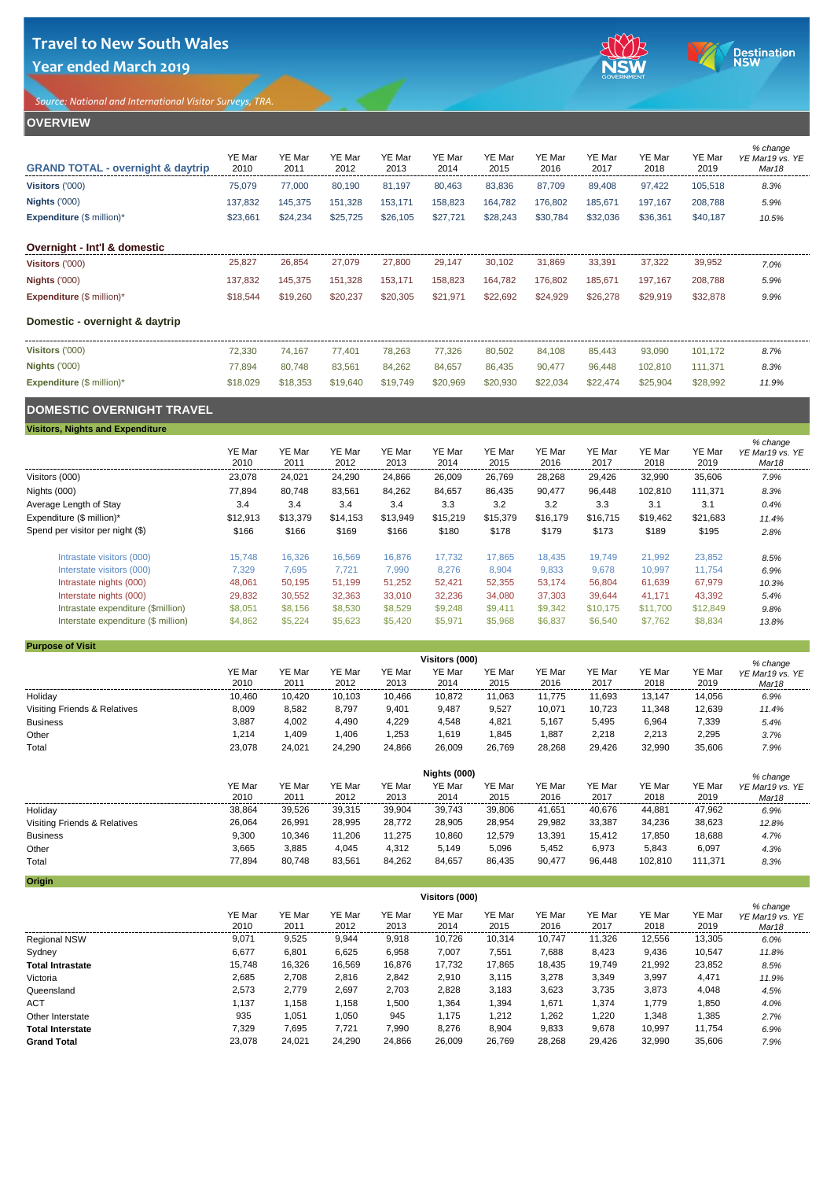**Year ended March 2019**

*Source: National and International Visitor Surveys, TRA.* 





## **OVERVIEW**

| <b>GRAND TOTAL - overnight &amp; daytrip</b> | YE Mar<br>2010 | YE Mar<br>2011 | YE Mar<br>2012 | YE Mar<br>2013 | YE Mar<br>2014 | YE Mar<br>2015 | YE Mar<br>2016 | YE Mar<br>2017 | YE Mar<br>2018 | YE Mar<br>2019 | % change<br>YE Mar19 vs. YE<br>Mar <sub>18</sub> |
|----------------------------------------------|----------------|----------------|----------------|----------------|----------------|----------------|----------------|----------------|----------------|----------------|--------------------------------------------------|
| Visitors ('000)                              | 75,079         | 77,000         | 80,190         | 81,197         | 80,463         | 83,836         | 87,709         | 89,408         | 97,422         | 105,518        | 8.3%                                             |
| <b>Nights ('000)</b>                         | 137,832        | 145,375        | 151,328        | 153,171        | 158,823        | 164,782        | 176,802        | 185,671        | 197,167        | 208,788        | 5.9%                                             |
| <b>Expenditure (\$ million)*</b>             | \$23,661       | \$24,234       | \$25,725       | \$26,105       | \$27,721       | \$28,243       | \$30,784       | \$32,036       | \$36,361       | \$40,187       | 10.5%                                            |
| Overnight - Int'l & domestic                 |                |                |                |                |                |                |                |                |                |                |                                                  |
| Visitors ('000)                              | 25,827         | 26,854         | 27,079         | 27,800         | 29,147         | 30,102         | 31,869         | 33,391         | 37,322         | 39,952         | 7.0%                                             |
| <b>Nights ('000)</b>                         | 137,832        | 145,375        | 151,328        | 153,171        | 158,823        | 164,782        | 176,802        | 185,671        | 197,167        | 208,788        | 5.9%                                             |
| <b>Expenditure (\$ million)*</b>             | \$18,544       | \$19,260       | \$20,237       | \$20,305       | \$21,971       | \$22,692       | \$24,929       | \$26,278       | \$29,919       | \$32,878       | 9.9%                                             |
| Domestic - overnight & daytrip               |                |                |                |                |                |                |                |                |                |                |                                                  |
| Visitors ('000)                              | 72,330         | 74,167         | 77,401         | 78,263         | 77,326         | 80,502         | 84,108         | 85,443         | 93,090         | 101,172        | 8.7%                                             |
| <b>Nights ('000)</b>                         | 77,894         | 80.748         | 83,561         | 84,262         | 84,657         | 86,435         | 90,477         | 96,448         | 102,810        | 111,371        | 8.3%                                             |
| <b>Expenditure (\$ million)*</b>             | \$18,029       | \$18,353       | \$19,640       | \$19,749       | \$20,969       | \$20,930       | \$22,034       | \$22,474       | \$25,904       | \$28,992       | 11.9%                                            |
|                                              |                |                |                |                |                |                |                |                |                |                |                                                  |

# **DOMESTIC OVERNIGHT TRAVEL**

**Visitors, Nights and Expenditure**

|                                     | YE Mar<br>2010 | YE Mar<br>2011 | YE Mar<br>2012 | YE Mar<br>2013 | YE Mar<br>2014 | YE Mar<br>2015 | YE Mar<br>2016 | YE Mar<br>2017 | YE Mar<br>2018 | YE Mar<br>2019 | % change<br>YE Mar19 vs. YE<br>Mar <sub>18</sub> |
|-------------------------------------|----------------|----------------|----------------|----------------|----------------|----------------|----------------|----------------|----------------|----------------|--------------------------------------------------|
| Visitors (000)                      | 23,078         | 24,021         | 24,290         | 24,866         | 26,009         | 26,769         | 28,268         | 29,426         | 32,990         | 35,606         | 7.9%                                             |
| Nights (000)                        | 77,894         | 80,748         | 83,561         | 84,262         | 84,657         | 86,435         | 90,477         | 96,448         | 102,810        | 111,371        | 8.3%                                             |
| Average Length of Stay              | 3.4            | 3.4            | 3.4            | 3.4            | 3.3            | 3.2            | 3.2            | 3.3            | 3.1            | 3.1            | 0.4%                                             |
| Expenditure (\$ million)*           | \$12,913       | \$13,379       | \$14,153       | \$13,949       | \$15,219       | \$15,379       | \$16,179       | \$16,715       | \$19.462       | \$21,683       | 11.4%                                            |
| Spend per visitor per night (\$)    | \$166          | \$166          | \$169          | \$166          | \$180          | \$178          | \$179          | \$173          | \$189          | \$195          | 2.8%                                             |
| Intrastate visitors (000)           | 15.748         | 16.326         | 16.569         | 16.876         | 17.732         | 17.865         | 18.435         | 19.749         | 21.992         | 23,852         | 8.5%                                             |
| Interstate visitors (000)           | 7,329          | 7.695          | 7,721          | 7,990          | 8,276          | 8,904          | 9,833          | 9,678          | 10,997         | 11,754         | 6.9%                                             |
| Intrastate nights (000)             | 48,061         | 50.195         | 51.199         | 51,252         | 52,421         | 52,355         | 53.174         | 56,804         | 61.639         | 67,979         | 10.3%                                            |
| Interstate nights (000)             | 29,832         | 30,552         | 32,363         | 33,010         | 32,236         | 34,080         | 37,303         | 39,644         | 41.171         | 43,392         | 5.4%                                             |
| Intrastate expenditure (\$million)  | \$8,051        | \$8,156        | \$8,530        | \$8,529        | \$9,248        | \$9,411        | \$9,342        | \$10.175       | \$11.700       | \$12,849       | 9.8%                                             |
| Interstate expenditure (\$ million) | \$4,862        | \$5,224        | \$5,623        | \$5,420        | \$5,971        | \$5,968        | \$6,837        | \$6,540        | \$7,762        | \$8,834        | 13.8%                                            |
|                                     |                |                |                |                |                |                |                |                |                |                |                                                  |

## **Purpose of Visit**

|                              | Visitors (000) |                |                |                |                |                |                |                |                |                |                                                  |
|------------------------------|----------------|----------------|----------------|----------------|----------------|----------------|----------------|----------------|----------------|----------------|--------------------------------------------------|
|                              | YE Mar<br>2010 | YE Mar<br>2011 | YE Mar<br>2012 | YE Mar<br>2013 | YE Mar<br>2014 | YE Mar<br>2015 | YE Mar<br>2016 | YE Mar<br>2017 | YE Mar<br>2018 | YE Mar<br>2019 | % change<br>YE Mar19 vs. YE<br>Mar <sub>18</sub> |
| Holiday                      | 10,460         | 10,420         | 10,103         | 10,466         | 10,872         | 11,063         | 11,775         | 11,693         | 13,147         | 14,056         | 6.9%                                             |
| Visiting Friends & Relatives | 8,009          | 8,582          | 8,797          | 9,401          | 9,487          | 9,527          | 10,071         | 10,723         | 11,348         | 12,639         | 11.4%                                            |
| <b>Business</b>              | 3,887          | 4,002          | 4,490          | 4,229          | 4,548          | 4,821          | 5,167          | 5,495          | 6,964          | 7,339          | 5.4%                                             |
| Other                        | 1,214          | 1,409          | 1,406          | 1,253          | 1,619          | 1,845          | 1,887          | 2,218          | 2,213          | 2,295          | 3.7%                                             |
| Total                        | 23,078         | 24,021         | 24,290         | 24,866         | 26,009         | 26,769         | 28,268         | 29,426         | 32,990         | 35,606         | 7.9%                                             |
|                              | Nights (000)   |                |                |                |                |                |                |                |                |                | % change                                         |
|                              | YE Mar<br>2010 | YE Mar<br>2011 | YE Mar<br>2012 | YE Mar<br>2013 | YE Mar<br>2014 | YE Mar<br>2015 | YE Mar<br>2016 | YE Mar<br>2017 | YE Mar<br>2018 | YE Mar<br>2019 | YE Mar19 vs. YE<br>Mar18                         |
| Holiday                      | 38,864         | 39,526         | 39,315         | 39,904         | 39,743         | 39,806         | 41,651         | 40,676         | 44,881         | 47,962         | 6.9%                                             |
| Visiting Friends & Relatives | 26,064         | 26,991         | 28,995         | 28,772         | 28,905         | 28,954         | 29,982         | 33,387         | 34,236         | 38,623         | 12.8%                                            |
| <b>Business</b>              | 9,300          | 10,346         | 11,206         | 11,275         | 10,860         | 12,579         | 13,391         | 15,412         | 17,850         | 18,688         | 4.7%                                             |
| Other                        | 3,665          | 3,885          | 4,045          | 4,312          | 5,149          | 5,096          | 5,452          | 6,973          | 5,843          | 6,097          | 4.3%                                             |
| Total                        | 77,894         | 80,748         | 83,561         | 84,262         | 84,657         | 86,435         | 90,477         | 96,448         | 102,810        | 111,371        | 8.3%                                             |
| <b>Origin</b>                |                |                |                |                |                |                |                |                |                |                |                                                  |

|                         | Visitors (000) |                |                |                |                |                |                |                |                |                |                                      |
|-------------------------|----------------|----------------|----------------|----------------|----------------|----------------|----------------|----------------|----------------|----------------|--------------------------------------|
|                         | YE Mar<br>2010 | YE Mar<br>2011 | YE Mar<br>2012 | YE Mar<br>2013 | YE Mar<br>2014 | YE Mar<br>2015 | YE Mar<br>2016 | YE Mar<br>2017 | YE Mar<br>2018 | YE Mar<br>2019 | % change<br>YE Mar19 vs. YE<br>Mar18 |
| <b>Regional NSW</b>     | 9,071          | 9,525          | 9,944          | 9,918          | 10.726         | 10,314         | 10.747         | 11,326         | 12,556         | 13,305         | 6.0%                                 |
| Sydney                  | 6,677          | 6,801          | 6,625          | 6,958          | 7,007          | 7,551          | 7,688          | 8,423          | 9,436          | 10,547         | 11.8%                                |
| <b>Total Intrastate</b> | 15,748         | 16,326         | 16,569         | 16,876         | 17,732         | 17,865         | 18,435         | 19,749         | 21,992         | 23,852         | 8.5%                                 |
| Victoria                | 2,685          | 2,708          | 2,816          | 2,842          | 2,910          | 3,115          | 3,278          | 3,349          | 3,997          | 4,471          | 11.9%                                |
| Queensland              | 2,573          | 2,779          | 2,697          | 2,703          | 2,828          | 3,183          | 3,623          | 3,735          | 3,873          | 4,048          | 4.5%                                 |
| <b>ACT</b>              | 1,137          | 1,158          | 1,158          | 1,500          | 1,364          | 1,394          | 1,671          | 1,374          | 1,779          | 1,850          | 4.0%                                 |
| Other Interstate        | 935            | 1,051          | 1,050          | 945            | 1,175          | 1,212          | 1,262          | 1,220          | 1,348          | 1,385          | 2.7%                                 |
| <b>Total Interstate</b> | 7,329          | 7,695          | 7,721          | 7,990          | 8,276          | 8,904          | 9,833          | 9,678          | 10.997         | 11,754         | 6.9%                                 |
| <b>Grand Total</b>      | 23,078         | 24,021         | 24,290         | 24,866         | 26,009         | 26,769         | 28,268         | 29.426         | 32,990         | 35,606         | 7.9%                                 |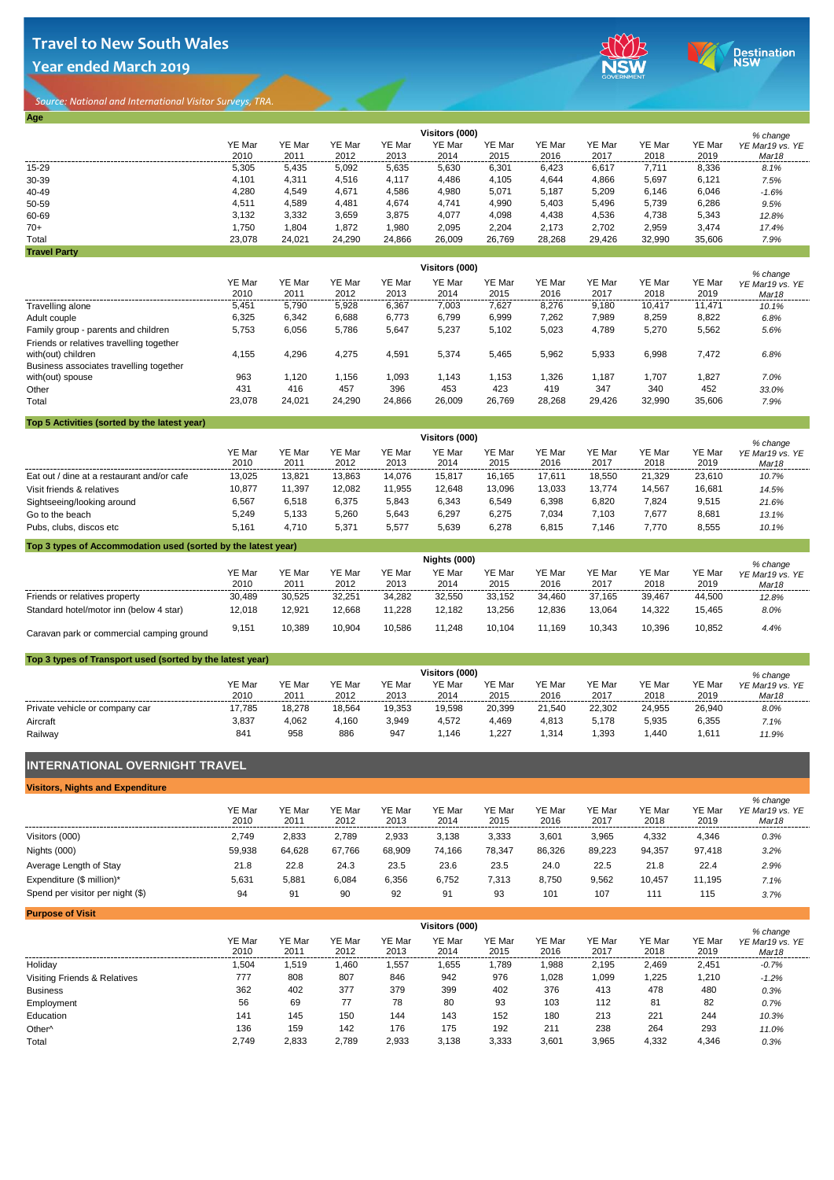**Year ended March 2019**

**Age**





*Source: National and International Visitor Surveys, TRA.* 

|                     |        | Visitors (000) |        |        |        |        |        |        |        |        |                             |  |  |
|---------------------|--------|----------------|--------|--------|--------|--------|--------|--------|--------|--------|-----------------------------|--|--|
|                     | YE Mar | YE Mar         | YE Mar | YE Mar | YE Mar | YE Mar | YE Mar | YE Mar | YE Mar | YE Mar | % change<br>YE Mar19 vs. YE |  |  |
|                     | 2010   | 2011           | 2012   | 2013   | 2014   | 2015   | 2016   | 2017   | 2018   | 2019   | Mar <sub>18</sub>           |  |  |
| 15-29               | 5,305  | 5,435          | 5,092  | 5,635  | 5,630  | 6,301  | 6,423  | 6,617  | 7,711  | 8,336  | 8.1%                        |  |  |
| 30-39               | 4.101  | 4,311          | 4,516  | 4.117  | 4,486  | 4,105  | 4,644  | 4,866  | 5,697  | 6,121  | 7.5%                        |  |  |
| 40-49               | 4,280  | 4,549          | 4,671  | 4,586  | 4,980  | 5,071  | 5,187  | 5,209  | 6,146  | 6,046  | $-1.6%$                     |  |  |
| 50-59               | 4.511  | 4,589          | 4,481  | 4,674  | 4,741  | 4,990  | 5.403  | 5,496  | 5,739  | 6,286  | 9.5%                        |  |  |
| 60-69               | 3.132  | 3,332          | 3,659  | 3,875  | 4,077  | 4,098  | 4,438  | 4,536  | 4,738  | 5,343  | 12.8%                       |  |  |
| $70+$               | 1,750  | 1,804          | 1,872  | 1,980  | 2,095  | 2,204  | 2.173  | 2,702  | 2,959  | 3,474  | 17.4%                       |  |  |
| Total               | 23,078 | 24,021         | 24,290 | 24,866 | 26,009 | 26,769 | 28,268 | 29.426 | 32,990 | 35,606 | 7.9%                        |  |  |
| <b>Travel Party</b> |        |                |        |        |        |        |        |        |        |        |                             |  |  |

|                                                                                                           |                |                | % change       |                |                |                |                |                |                |                |                          |
|-----------------------------------------------------------------------------------------------------------|----------------|----------------|----------------|----------------|----------------|----------------|----------------|----------------|----------------|----------------|--------------------------|
|                                                                                                           | YE Mar<br>2010 | YE Mar<br>2011 | YE Mar<br>2012 | YE Mar<br>2013 | YE Mar<br>2014 | YE Mar<br>2015 | YE Mar<br>2016 | YE Mar<br>2017 | YE Mar<br>2018 | YE Mar<br>2019 | YE Mar19 vs. YE<br>Mar18 |
| Travelling alone                                                                                          | 5,451          | 5.790          | 5,928          | 6,367          | 7.003          | 7.627          | 8.276          | 9.180          | 10.417         | 11.471         | 10.1%                    |
| Adult couple                                                                                              | 6,325          | 6.342          | 6.688          | 6.773          | 6.799          | 6.999          | 7.262          | 7.989          | 8.259          | 8,822          | 6.8%                     |
| Family group - parents and children                                                                       | 5.753          | 6.056          | 5.786          | 5,647          | 5,237          | 5,102          | 5,023          | 4,789          | 5,270          | 5,562          | 5.6%                     |
| Friends or relatives travelling together<br>with(out) children<br>Business associates travelling together | 4.155          | 4,296          | 4,275          | 4,591          | 5,374          | 5,465          | 5,962          | 5,933          | 6,998          | 7,472          | 6.8%                     |
| with(out) spouse<br>Other                                                                                 | 963<br>431     | 1.120<br>416   | 1.156<br>457   | 1.093<br>396   | 1.143<br>453   | 1.153<br>423   | 1.326<br>419   | 1,187<br>347   | 1,707<br>340   | 1.827<br>452   | 7.0%<br>33.0%            |
| Total                                                                                                     | 23,078         | 24.021         | 24,290         | 24,866         | 26,009         | 26,769         | 28,268         | 29,426         | 32.990         | 35,606         | 7.9%                     |

## **Top 5 Activities (sorted by the latest year)**

|                                            | Visitors (000) |                |                |                |                |                |                |                |                |                |                                      |
|--------------------------------------------|----------------|----------------|----------------|----------------|----------------|----------------|----------------|----------------|----------------|----------------|--------------------------------------|
|                                            | YE Mar<br>2010 | YE Mar<br>2011 | YE Mar<br>2012 | YE Mar<br>2013 | YE Mar<br>2014 | YE Mar<br>2015 | YE Mar<br>2016 | YE Mar<br>2017 | YE Mar<br>2018 | YE Mar<br>2019 | % change<br>YE Mar19 vs. YE<br>Mar18 |
| Eat out / dine at a restaurant and/or cafe | 13,025         | 13,821         | 13,863         | 14.076         | 15,817         | 16.165         | 17,611         | 18.550         | 21.329         | 23,610         | 10.7%                                |
| Visit friends & relatives                  | 10.877         | 11.397         | 12,082         | 11,955         | 12,648         | 13,096         | 13,033         | 13.774         | 14.567         | 16,681         | 14.5%                                |
| Sightseeing/looking around                 | 6,567          | 6.518          | 6,375          | 5,843          | 6,343          | 6,549          | 6,398          | 6,820          | 7,824          | 9,515          | 21.6%                                |
| Go to the beach                            | 5,249          | 5.133          | 5,260          | 5.643          | 6,297          | 6.275          | 7.034          | 7.103          | 7,677          | 8,681          | 13.1%                                |
| Pubs, clubs, discos etc                    | 5.161          | 4.710          | 5,371          | 5,577          | 5,639          | 6,278          | 6,815          | 7.146          | 7.770          | 8,555          | 10.1%                                |

## **Top 3 types of Accommodation used (sorted by the latest year)**

|                                           | Nights (000)   |                |                |                |                |                |                |                       |                |                | % change                             |
|-------------------------------------------|----------------|----------------|----------------|----------------|----------------|----------------|----------------|-----------------------|----------------|----------------|--------------------------------------|
|                                           | YE Mar<br>2010 | YE Mar<br>2011 | YE Mar<br>2012 | YE Mar<br>2013 | YE Mar<br>2014 | YE Mar<br>2015 | YE Mar<br>2016 | <b>YE Mar</b><br>2017 | YE Mar<br>2018 | YE Mar<br>2019 | YE Mar19 vs. YE<br>Mar <sub>18</sub> |
| Friends or relatives property             | 30.489         | 30.525         | 32.251         | 34.282         | 32.550         | 33.152         | 34.460         | 37.165                | 39.467         | 44.500         | 12.8%                                |
| Standard hotel/motor inn (below 4 star)   | 12,018         | 12.921         | 12.668         | 1.228          | 12.182         | 13.256         | 12.836         | 13.064                | 14.322         | 15.465         | 8.0%                                 |
| Caravan park or commercial camping ground | 9,151          | 10.389         | 10.904         | 10.586         | 11.248         | 10.104         | 11.169         | 10.343                | 10.396         | 10,852         | 4.4%                                 |

## **Top 3 types of Transport used (sorted by the latest year)**

|                                |                | Visitors (000) |                |                |                |                |                |                       |                       |                |                                                  |  |
|--------------------------------|----------------|----------------|----------------|----------------|----------------|----------------|----------------|-----------------------|-----------------------|----------------|--------------------------------------------------|--|
|                                | YE Mar<br>2010 | YE Mar<br>2011 | YE Mar<br>2012 | YE Mar<br>2013 | YE Mar<br>2014 | YE Mar<br>2015 | YE Mar<br>2016 | <b>YE Mar</b><br>2017 | <b>YE Mar</b><br>2018 | YE Mar<br>2019 | % change<br>YE Mar19 vs. YE<br>Mar <sub>18</sub> |  |
| Private vehicle or company car | 17,785         | 18.278         | 18.564         | 19.353         | 19,598         | 20.399         | 21.540         | 22.302                | 24.955                | 26.940         | 8.0%                                             |  |
| Aircraft                       | 3,837          | 4,062          | 4.160          | 3,949          | 4,572          | 4,469          | 4,813          | 5.178                 | 5,935                 | 6,355          | 7.1%                                             |  |
| Railway                        | 84             | 958            | 886            | 947            | .146           | ,227           | ,314           | .393                  | A40, l                | 611,           | 11.9%                                            |  |

# **INTERNATIONAL OVERNIGHT TRAVEL**

| <b>Visitors, Nights and Expenditure</b> |                |                |                |                |                |                |                |                |                |                |                                                  |
|-----------------------------------------|----------------|----------------|----------------|----------------|----------------|----------------|----------------|----------------|----------------|----------------|--------------------------------------------------|
|                                         | YE Mar<br>2010 | YE Mar<br>2011 | YE Mar<br>2012 | YE Mar<br>2013 | YE Mar<br>2014 | YE Mar<br>2015 | YE Mar<br>2016 | YE Mar<br>2017 | YE Mar<br>2018 | YE Mar<br>2019 | % change<br>YE Mar19 vs. YE<br>Mar <sub>18</sub> |
| Visitors (000)                          | 2.749          | 2.833          | 2.789          | 2,933          | 3.138          | 3,333          | 3,601          | 3.965          | 4,332          | 4,346          | 0.3%                                             |
| Nights (000)                            | 59.938         | 64.628         | 67.766         | 68.909         | 74.166         | 78.347         | 86.326         | 89.223         | 94.357         | 97.418         | 3.2%                                             |
| Average Length of Stay                  | 21.8           | 22.8           | 24.3           | 23.5           | 23.6           | 23.5           | 24.0           | 22.5           | 21.8           | 22.4           | 2.9%                                             |
| Expenditure (\$ million)*               | 5.631          | 5.881          | 6,084          | 6.356          | 6.752          | 7.313          | 8,750          | 9,562          | 10.457         | 11.195         | 7.1%                                             |
| Spend per visitor per night (\$)        | 94             | 91             | 90             | 92             | 91             | 93             | 101            | 107            | 111            | 115            | 3.7%                                             |

| <b>Purpose of Visit</b>      |                |                |                |                |                |                |                |                |                |                |                          |
|------------------------------|----------------|----------------|----------------|----------------|----------------|----------------|----------------|----------------|----------------|----------------|--------------------------|
|                              |                |                |                | % change       |                |                |                |                |                |                |                          |
|                              | YE Mar<br>2010 | YE Mar<br>2011 | YE Mar<br>2012 | YE Mar<br>2013 | YE Mar<br>2014 | YE Mar<br>2015 | YE Mar<br>2016 | YE Mar<br>2017 | YE Mar<br>2018 | YE Mar<br>2019 | YE Mar19 vs. YE<br>Mar18 |
| Holiday                      | 1,504          | 1,519          | 1,460          | 1,557          | .655           | 1,789          | 0.988          | 2,195          | 2,469          | 2,451          | $-0.7%$                  |
| Visiting Friends & Relatives | 777            | 808            | 807            | 846            | 942            | 976            | 1,028          | 1,099          | 1,225          | 1,210          | $-1.2%$                  |
| <b>Business</b>              | 362            | 402            | 377            | 379            | 399            | 402            | 376            | 413            | 478            | 480            | 0.3%                     |
| Employment                   | 56             | 69             | 77             | 78             | 80             | 93             | 103            | 112            | 81             | 82             | 0.7%                     |
| Education                    | 141            | 145            | 150            | 144            | 143            | 152            | 180            | 213            | 221            | 244            | 10.3%                    |
| Other <sup>^</sup>           | 136            | 159            | 142            | 176            | 175            | 192            | 211            | 238            | 264            | 293            | 11.0%                    |
| Total                        | 2,749          | 2.833          | 2.789          | 2,933          | 3,138          | 3,333          | 3,601          | 3,965          | 4,332          | 4,346          | 0.3%                     |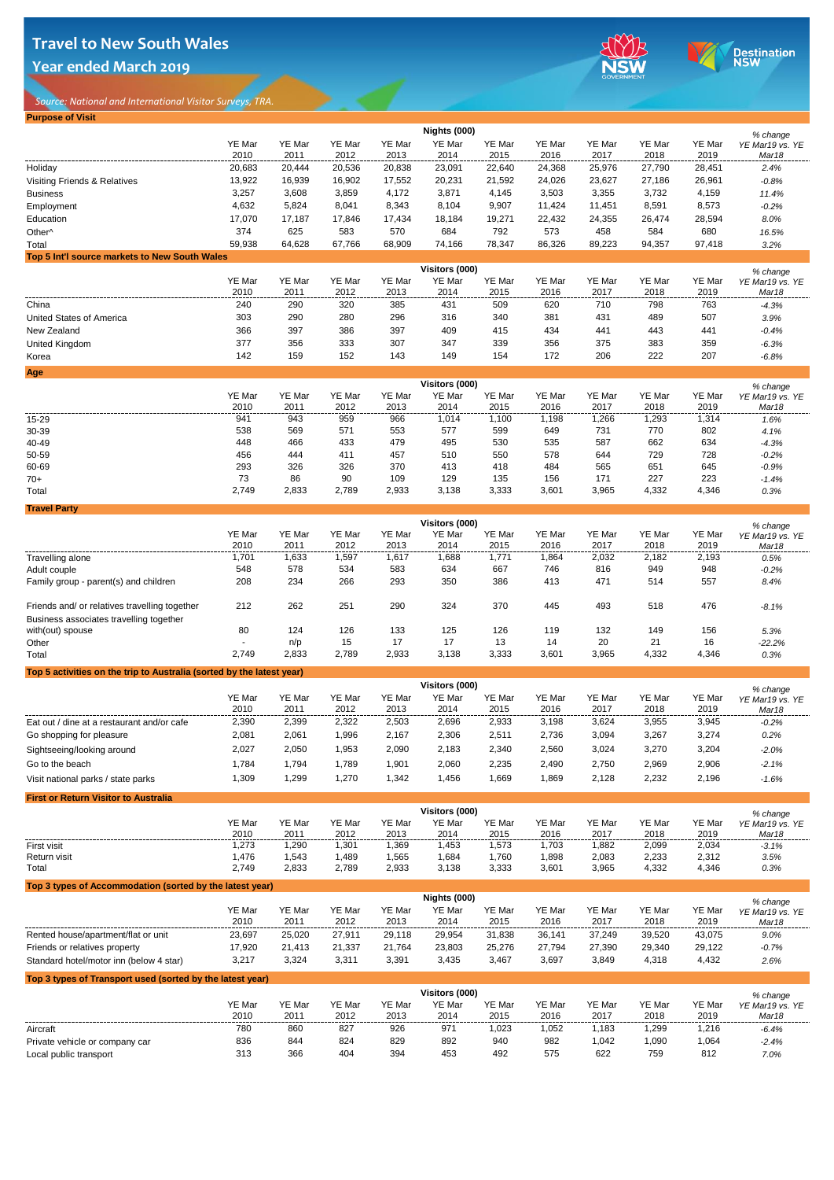*Source: National and International Visitor Surveys, TRA.* 

**Year ended March 2019**

**Purpose of Visit**





|                                                                                          |                  |                  |                  |                  | Nights (000)             |                  |                  |                  |                  |                  | % change                    |
|------------------------------------------------------------------------------------------|------------------|------------------|------------------|------------------|--------------------------|------------------|------------------|------------------|------------------|------------------|-----------------------------|
|                                                                                          | YE Mar           | YE Mar           | YE Mar           | YE Mar           | YE Mar                   | YE Mar           | YE Mar           | YE Mar           | YE Mar           | YE Mar           | YE Mar19 vs. YE             |
|                                                                                          | 2010             | 2011             | 2012             | 2013             | 2014                     | 2015             | 2016             | 2017             | 2018             | 2019             | Mar18                       |
| Holiday                                                                                  | 20,683           | 20,444           | 20,536           | 20,838           | 23,091                   | 22,640           | 24,368           | 25,976           | 27,790           | 28,451           | 2.4%                        |
| Visiting Friends & Relatives                                                             | 13,922           | 16,939           | 16,902           | 17,552           | 20,231                   | 21,592           | 24,026           | 23,627           | 27,186           | 26,961           | $-0.8%$                     |
| <b>Business</b><br>Employment                                                            | 3,257<br>4,632   | 3,608<br>5,824   | 3,859<br>8,041   | 4,172<br>8,343   | 3,871<br>8,104           | 4,145<br>9,907   | 3,503<br>11,424  | 3,355<br>11,451  | 3,732<br>8,591   | 4,159<br>8,573   | 11.4%<br>$-0.2%$            |
| Education                                                                                | 17,070           | 17,187           | 17,846           | 17,434           | 18,184                   | 19,271           | 22,432           | 24,355           | 26,474           | 28,594           | 8.0%                        |
| Other <sup>^</sup>                                                                       | 374              | 625              | 583              | 570              | 684                      | 792              | 573              | 458              | 584              | 680              | 16.5%                       |
| Total                                                                                    | 59,938           | 64,628           | 67,766           | 68,909           | 74,166                   | 78,347           | 86,326           | 89,223           | 94,357           | 97,418           | 3.2%                        |
| Top 5 Int'l source markets to New South Wales                                            |                  |                  |                  |                  |                          |                  |                  |                  |                  |                  |                             |
|                                                                                          |                  |                  |                  |                  | Visitors (000)           |                  |                  |                  |                  |                  | % change                    |
|                                                                                          | YE Mar<br>2010   | YE Mar<br>2011   | YE Mar<br>2012   | YE Mar<br>2013   | YE Mar<br>2014           | YE Mar<br>2015   | YE Mar<br>2016   | YE Mar<br>2017   | YE Mar<br>2018   | YE Mar<br>2019   | YE Mar19 vs. YE<br>Mar18    |
| China                                                                                    | 240              | 290              | 320              | 385              | 431                      | 509              | 620              | 710              | 798              | 763              | $-4.3%$                     |
| United States of America                                                                 | 303              | 290              | 280              | 296              | 316                      | 340              | 381              | 431              | 489              | 507              | 3.9%                        |
| New Zealand                                                                              | 366              | 397              | 386              | 397              | 409                      | 415              | 434              | 441              | 443              | 441              | $-0.4%$                     |
| United Kingdom                                                                           | 377              | 356              | 333              | 307              | 347                      | 339              | 356              | 375              | 383              | 359              | $-6.3%$                     |
| Korea                                                                                    | 142              | 159              | 152              | 143              | 149                      | 154              | 172              | 206              | 222              | 207              | $-6.8%$                     |
| Age                                                                                      |                  |                  |                  |                  |                          |                  |                  |                  |                  |                  |                             |
|                                                                                          |                  |                  |                  |                  | Visitors (000)           |                  |                  |                  |                  |                  | % change                    |
|                                                                                          | YE Mar           | YE Mar           | YE Mar           | YE Mar           | YE Mar                   | YE Mar           | YE Mar           | YE Mar           | YE Mar           | YE Mar           | YE Mar19 vs. YE             |
| 15-29                                                                                    | 2010<br>941      | 2011<br>943      | 2012<br>959      | 2013<br>966      | 2014<br>1,014            | 2015<br>1,100    | 2016<br>1,198    | 2017<br>1,266    | 2018<br>1,293    | 2019<br>1,314    | Mar18<br>1.6%               |
| 30-39                                                                                    | 538              | 569              | 571              | 553              | 577                      | 599              | 649              | 731              | 770              | 802              | 4.1%                        |
| 40-49                                                                                    | 448              | 466              | 433              | 479              | 495                      | 530              | 535              | 587              | 662              | 634              | $-4.3%$                     |
| 50-59                                                                                    | 456              | 444              | 411              | 457              | 510                      | 550              | 578              | 644              | 729              | 728              | $-0.2%$                     |
| 60-69                                                                                    | 293              | 326              | 326              | 370              | 413                      | 418              | 484              | 565              | 651              | 645              | $-0.9%$                     |
| $70+$                                                                                    | 73               | 86               | 90               | 109              | 129                      | 135              | 156              | 171              | 227              | 223              | $-1.4%$                     |
| Total                                                                                    | 2,749            | 2,833            | 2,789            | 2,933            | 3,138                    | 3,333            | 3,601            | 3,965            | 4,332            | 4,346            | 0.3%                        |
| <b>Travel Party</b>                                                                      |                  |                  |                  |                  |                          |                  |                  |                  |                  |                  |                             |
|                                                                                          |                  |                  |                  |                  | Visitors (000)           |                  |                  |                  |                  |                  | % change                    |
|                                                                                          | YE Mar<br>2010   | YE Mar<br>2011   | YE Mar<br>2012   | YE Mar<br>2013   | YE Mar<br>2014           | YE Mar<br>2015   | YE Mar<br>2016   | YE Mar<br>2017   | YE Mar<br>2018   | YE Mar<br>2019   | YE Mar19 vs. YE<br>Mar18    |
| Travelling alone                                                                         | 1,701            | 1,633            | 1,597            | 1,617            | 1,688                    | 1,771            | 1,864            | 2,032            | 2,182            | 2,193            | 0.5%                        |
| Adult couple                                                                             | 548              | 578              | 534              | 583              | 634                      | 667              | 746              | 816              | 949              | 948              | $-0.2%$                     |
| Family group - parent(s) and children                                                    | 208              | 234              | 266              | 293              | 350                      | 386              | 413              | 471              | 514              | 557              | 8.4%                        |
|                                                                                          |                  |                  |                  |                  |                          |                  |                  |                  |                  |                  |                             |
| Friends and/ or relatives travelling together<br>Business associates travelling together | 212              | 262              | 251              | 290              | 324                      | 370              | 445              | 493              | 518              | 476              | $-8.1%$                     |
| with(out) spouse                                                                         | 80               | 124              | 126              | 133              | 125                      | 126              | 119              | 132              | 149              | 156              | 5.3%                        |
| Other                                                                                    |                  | n/p              | 15               | 17               | 17                       | 13               | 14               | 20               | 21               | 16               | $-22.2%$                    |
| Total                                                                                    | 2,749            | 2,833            | 2,789            | 2,933            | 3,138                    | 3,333            | 3,601            | 3,965            | 4,332            | 4,346            | 0.3%                        |
| Top 5 activities on the trip to Australia (sorted by the latest year)                    |                  |                  |                  |                  |                          |                  |                  |                  |                  |                  |                             |
|                                                                                          |                  |                  |                  |                  | Visitors (000)           |                  |                  |                  |                  |                  | % change                    |
|                                                                                          | YE Mar           | YE Mar           | YE Mar           | YE Mar           | YE Mar                   | YE Mar           | YE Mar           | YE Mar           | YE Mar           | YE Mar           | YE Mar19 vs. YE             |
|                                                                                          | 2010             | 2011             | 2012             | 2013             | 2014                     | 2015             | 2016             | 2017             | 2018             | 2019             | Mar18                       |
| Eat out / dine at a restaurant and/or cafe                                               | 2,390            | 2,399            | 2,322            | 2,503            | 2,696                    | 2,933            | 3,198            | 3,624            | 3,955            | 3,945            | $-0.2%$                     |
| Go shopping for pleasure                                                                 | 2,081            | 2,061            | 1,996            | 2,167            | 2,306                    | 2,511            | 2,736            | 3,094            | 3,267            | 3,274            | 0.2%                        |
| Sightseeing/looking around                                                               | 2,027            | 2,050            | 1,953            | 2,090            | 2,183                    | 2,340            | 2,560            | 3,024            | 3,270            | 3,204            | $-2.0%$                     |
| Go to the beach                                                                          | 1,784            | 1,794            | 1,789            | 1,901            | 2,060                    | 2,235            | 2,490            | 2,750            | 2,969            | 2,906            | $-2.1%$                     |
| Visit national parks / state parks                                                       | 1,309            | 1,299            | 1,270            | 1,342            | 1,456                    | 1,669            | 1,869            | 2,128            | 2,232            | 2,196            | $-1.6%$                     |
| <b>First or Return Visitor to Australia</b>                                              |                  |                  |                  |                  |                          |                  |                  |                  |                  |                  |                             |
|                                                                                          |                  |                  |                  |                  | Visitors (000)           |                  |                  |                  |                  |                  | % change                    |
|                                                                                          | YE Mar           | YE Mar           | YE Mar           | YE Mar           | YE Mar<br>2014           | YE Mar           | YE Mar           | YE Mar           | YE Mar           | YE Mar           | YE Mar19 vs. YE             |
| First visit                                                                              | 2010<br>1,273    | 2011<br>1,290    | 2012<br>1,301    | 2013<br>1,369    | 1,453                    | 2015<br>1,573    | 2016<br>1,703    | 2017<br>1,882    | 2018<br>2,099    | 2019<br>2,034    | Mar18<br>$-3.1%$            |
| Return visit                                                                             | 1,476            | 1,543            | 1,489            | 1,565            | 1,684                    | 1,760            | 1,898            | 2,083            | 2,233            | 2,312            | 3.5%                        |
| Total                                                                                    | 2,749            | 2,833            | 2,789            | 2,933            | 3,138                    | 3,333            | 3,601            | 3,965            | 4,332            | 4,346            | 0.3%                        |
| Top 3 types of Accommodation (sorted by the latest year)                                 |                  |                  |                  |                  |                          |                  |                  |                  |                  |                  |                             |
|                                                                                          |                  |                  |                  |                  | Nights (000)             |                  |                  |                  |                  |                  | % change                    |
|                                                                                          | YE Mar           | YE Mar           | YE Mar           | YE Mar           | YE Mar                   | YE Mar           | YE Mar           | YE Mar           | YE Mar           | YE Mar           | YE Mar19 vs. YE             |
|                                                                                          | 2010             | 2011             | 2012             | 2013             | 2014                     | 2015             | 2016             | 2017             | 2018             | 2019             | Mar18                       |
| Rented house/apartment/flat or unit<br>Friends or relatives property                     | 23,697<br>17,920 | 25,020<br>21,413 | 27,911<br>21,337 | 29,118<br>21,764 | 29,954<br>23,803         | 31,838<br>25,276 | 36,141<br>27,794 | 37,249<br>27,390 | 39,520<br>29,340 | 43,075<br>29,122 | 9.0%<br>$-0.7%$             |
| Standard hotel/motor inn (below 4 star)                                                  | 3,217            | 3,324            | 3,311            | 3,391            | 3,435                    | 3,467            | 3,697            | 3,849            | 4,318            | 4,432            | 2.6%                        |
|                                                                                          |                  |                  |                  |                  |                          |                  |                  |                  |                  |                  |                             |
| Top 3 types of Transport used (sorted by the latest year)                                |                  |                  |                  |                  |                          |                  |                  |                  |                  |                  |                             |
|                                                                                          | YE Mar           | YE Mar           | YE Mar           | YE Mar           | Visitors (000)<br>YE Mar | YE Mar           | YE Mar           | YE Mar           | YE Mar           | YE Mar           | % change<br>YE Mar19 vs. YE |
|                                                                                          | 2010             | 2011             | 2012             | 2013             | 2014                     | 2015             | 2016             | 2017             | 2018             | 2019             | Mar18                       |
| Aircraft                                                                                 | 780              | 860              | 827              | 926              | 971                      | 1,023            | 1,052            | 1,183            | 1,299            | 1,216            | $-6.4%$                     |
| Private vehicle or company car                                                           | 836              | 844              | 824              | 829              | 892                      | 940              | 982              | 1,042            | 1,090            | 1,064            | $-2.4%$                     |
| Local public transport                                                                   | 313              | 366              | 404              | 394              | 453                      | 492              | 575              | 622              | 759              | 812              | 7.0%                        |
|                                                                                          |                  |                  |                  |                  |                          |                  |                  |                  |                  |                  |                             |
|                                                                                          |                  |                  |                  |                  |                          |                  |                  |                  |                  |                  |                             |
|                                                                                          |                  |                  |                  |                  |                          |                  |                  |                  |                  |                  |                             |